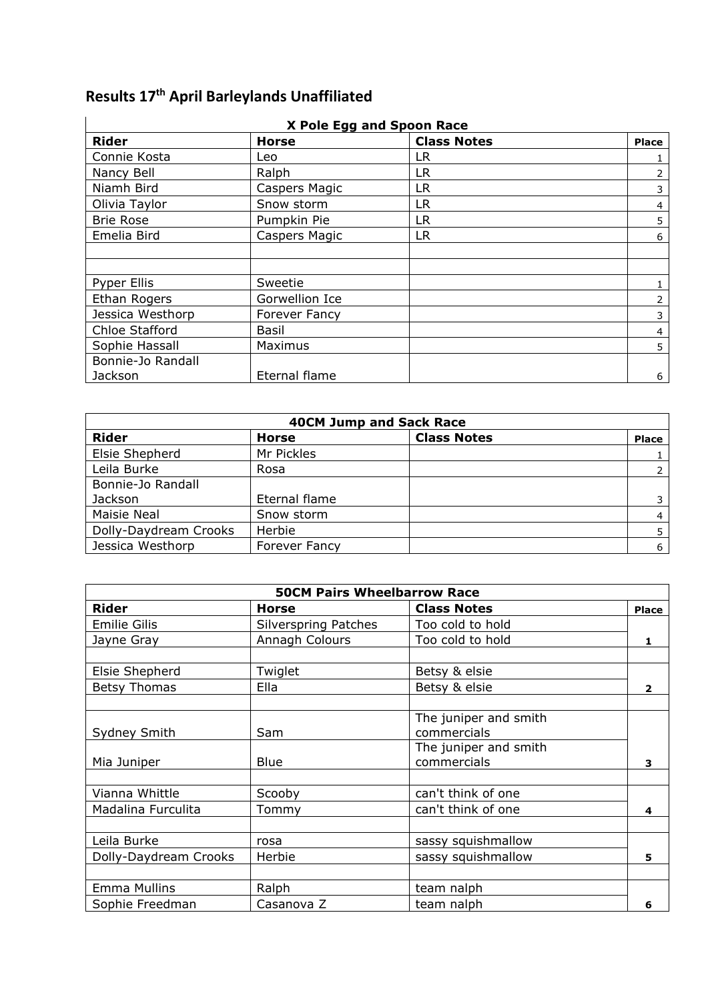## **Results 17th April Barleylands Unaffiliated**

| X Pole Egg and Spoon Race |                      |                    |              |
|---------------------------|----------------------|--------------------|--------------|
| <b>Rider</b>              | <b>Horse</b>         | <b>Class Notes</b> | <b>Place</b> |
| Connie Kosta              | Leo                  | LR                 |              |
| Nancy Bell                | Ralph                | LR                 | 2            |
| Niamh Bird                | Caspers Magic        | LR                 | 3            |
| Olivia Taylor             | Snow storm           | <b>LR</b>          | 4            |
| <b>Brie Rose</b>          | Pumpkin Pie          | LR                 | 5            |
| Emelia Bird               | Caspers Magic        | LR                 | 6            |
|                           |                      |                    |              |
|                           |                      |                    |              |
| <b>Pyper Ellis</b>        | Sweetie              |                    |              |
| Ethan Rogers              | Gorwellion Ice       |                    | 2            |
| Jessica Westhorp          | <b>Forever Fancy</b> |                    | 3            |
| Chloe Stafford            | Basil                |                    | 4            |
| Sophie Hassall            | Maximus              |                    | 5            |
| Bonnie-Jo Randall         |                      |                    |              |
| Jackson                   | Eternal flame        |                    | 6            |

| <b>40CM Jump and Sack Race</b> |                      |                    |              |
|--------------------------------|----------------------|--------------------|--------------|
| <b>Rider</b>                   | <b>Horse</b>         | <b>Class Notes</b> | <b>Place</b> |
| Elsie Shepherd                 | Mr Pickles           |                    |              |
| Leila Burke                    | Rosa                 |                    |              |
| Bonnie-Jo Randall              |                      |                    |              |
| Jackson                        | Eternal flame        |                    |              |
| <b>Maisie Neal</b>             | Snow storm           |                    | 4            |
| Dolly-Daydream Crooks          | Herbie               |                    |              |
| Jessica Westhorp               | <b>Forever Fancy</b> |                    | 6            |

| <b>50CM Pairs Wheelbarrow Race</b> |                             |                       |                |
|------------------------------------|-----------------------------|-----------------------|----------------|
| <b>Rider</b>                       | <b>Horse</b>                | <b>Class Notes</b>    | <b>Place</b>   |
| <b>Emilie Gilis</b>                | <b>Silverspring Patches</b> | Too cold to hold      |                |
| Jayne Gray                         | Annagh Colours              | Too cold to hold      | 1              |
|                                    |                             |                       |                |
| Elsie Shepherd                     | Twiglet                     | Betsy & elsie         |                |
| <b>Betsy Thomas</b>                | Ella                        | Betsy & elsie         | $\overline{2}$ |
|                                    |                             |                       |                |
|                                    |                             | The juniper and smith |                |
| Sydney Smith                       | <b>Sam</b>                  | commercials           |                |
|                                    |                             | The juniper and smith |                |
| Mia Juniper                        | <b>Blue</b>                 | commercials           | 3              |
|                                    |                             |                       |                |
| Vianna Whittle                     | Scooby                      | can't think of one    |                |
| Madalina Furculita                 | Tommy                       | can't think of one    | 4              |
|                                    |                             |                       |                |
| Leila Burke                        | rosa                        | sassy squishmallow    |                |
| Dolly-Daydream Crooks              | Herbie                      | sassy squishmallow    | 5              |
|                                    |                             |                       |                |
| Emma Mullins                       | Ralph                       | team nalph            |                |
| Sophie Freedman                    | Casanova Z                  | team nalph            | 6              |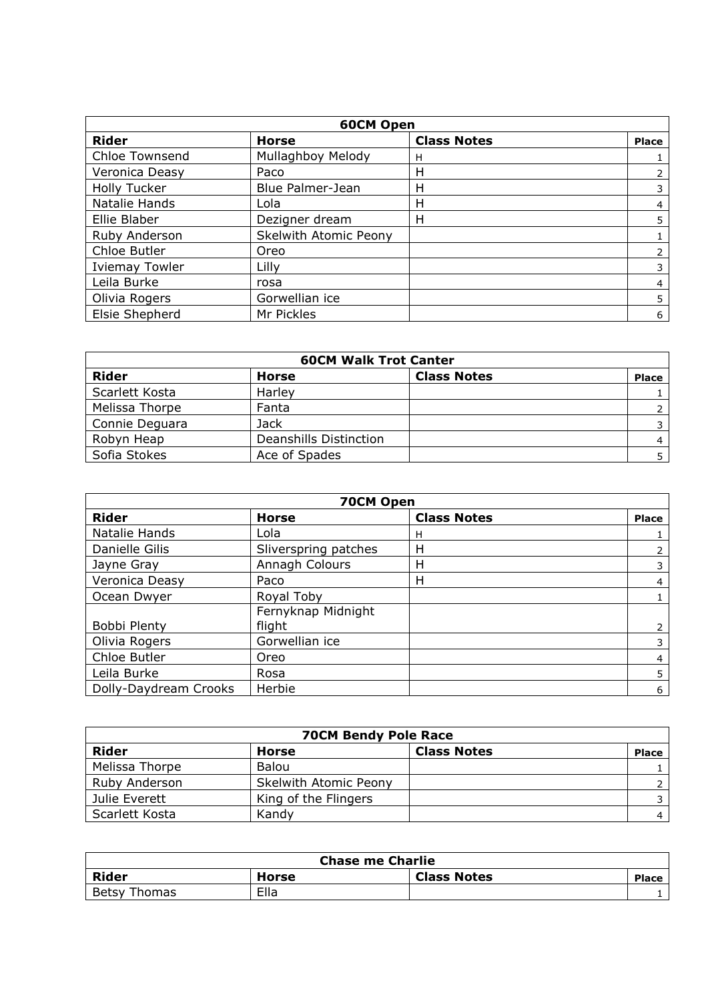| <b>60CM Open</b>      |                       |                    |              |
|-----------------------|-----------------------|--------------------|--------------|
| <b>Rider</b>          | <b>Horse</b>          | <b>Class Notes</b> | <b>Place</b> |
| Chloe Townsend        | Mullaghboy Melody     | н                  |              |
| Veronica Deasy        | Paco                  | Н                  |              |
| <b>Holly Tucker</b>   | Blue Palmer-Jean      | Н                  | 3            |
| Natalie Hands         | Lola                  | Н                  | 4            |
| Ellie Blaber          | Dezigner dream        | Н                  | 5            |
| Ruby Anderson         | Skelwith Atomic Peony |                    |              |
| Chloe Butler          | Oreo                  |                    |              |
| <b>Iviemay Towler</b> | Lilly                 |                    | 3            |
| Leila Burke           | rosa                  |                    | 4            |
| Olivia Rogers         | Gorwellian ice        |                    | 5            |
| Elsie Shepherd        | Mr Pickles            |                    | 6            |

| <b>60CM Walk Trot Canter</b> |                               |                    |              |
|------------------------------|-------------------------------|--------------------|--------------|
| <b>Rider</b>                 | <b>Horse</b>                  | <b>Class Notes</b> | <b>Place</b> |
| Scarlett Kosta               | Harley                        |                    |              |
| Melissa Thorpe               | Fanta                         |                    |              |
| Connie Deguara               | <b>Jack</b>                   |                    |              |
| Robyn Heap                   | <b>Deanshills Distinction</b> |                    |              |
| Sofia Stokes                 | Ace of Spades                 |                    |              |

| 70CM Open             |                              |                    |              |
|-----------------------|------------------------------|--------------------|--------------|
| <b>Rider</b>          | <b>Horse</b>                 | <b>Class Notes</b> | <b>Place</b> |
| Natalie Hands         | Lola                         | H                  |              |
| Danielle Gilis        | Sliverspring patches         | Н                  |              |
| Jayne Gray            | Annagh Colours               | н                  |              |
| Veronica Deasy        | Paco                         | H                  | 4            |
| Ocean Dwyer           | Royal Toby                   |                    |              |
| Bobbi Plenty          | Fernyknap Midnight<br>flight |                    | 2            |
| Olivia Rogers         | Gorwellian ice               |                    | 3            |
| Chloe Butler          | Oreo                         |                    | 4            |
| Leila Burke           | Rosa                         |                    | 5            |
| Dolly-Daydream Crooks | Herbie                       |                    | 6            |

| <b>70CM Bendy Pole Race</b> |                              |                    |              |
|-----------------------------|------------------------------|--------------------|--------------|
| Rider                       | Horse                        | <b>Class Notes</b> | <b>Place</b> |
| Melissa Thorpe              | Balou                        |                    |              |
| Ruby Anderson               | <b>Skelwith Atomic Peony</b> |                    |              |
| Julie Everett               | King of the Flingers         |                    |              |
| Scarlett Kosta              | Kandy                        |                    |              |

| <b>Chase me Charlie</b> |       |                    |       |
|-------------------------|-------|--------------------|-------|
| <b>Rider</b>            | Horse | <b>Class Notes</b> | Place |
| <b>Betsy Thomas</b>     | Ella  |                    |       |